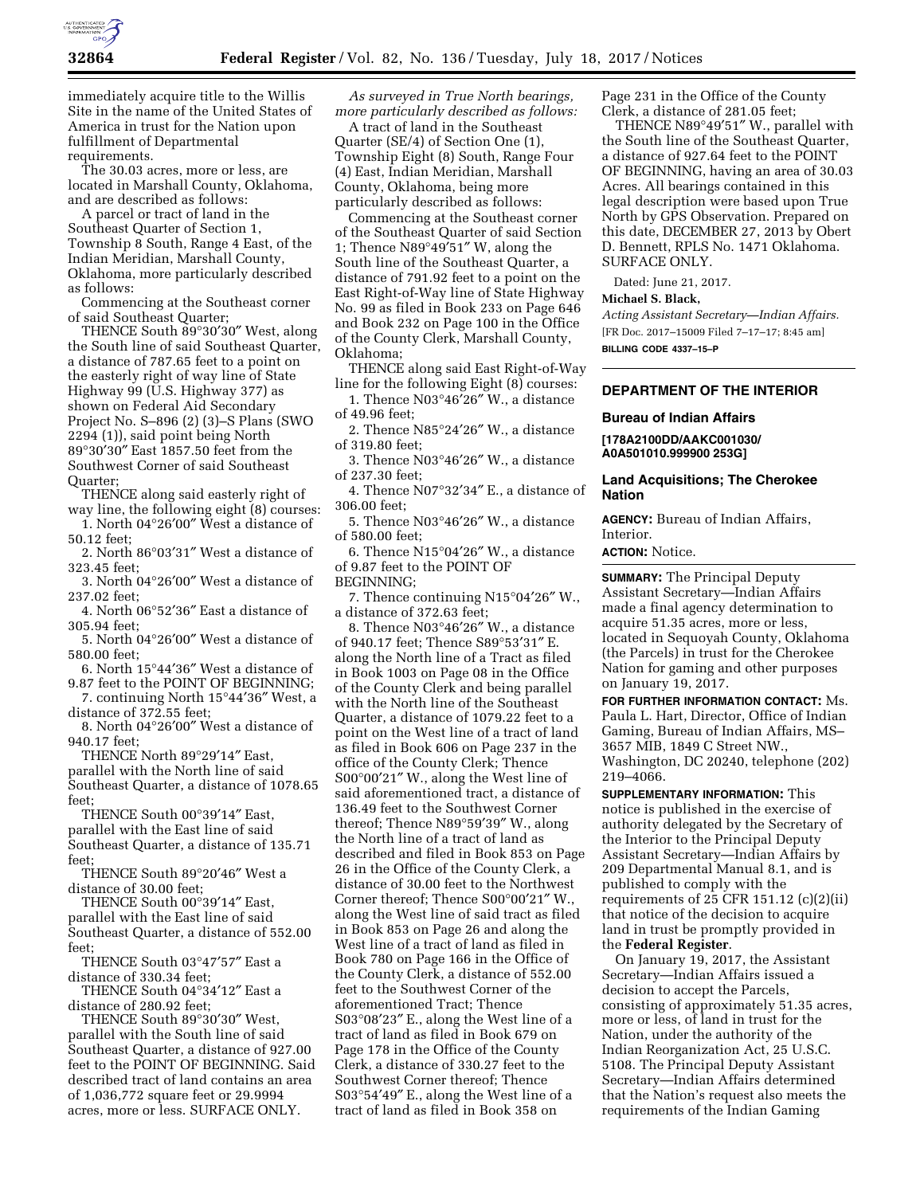

immediately acquire title to the Willis Site in the name of the United States of America in trust for the Nation upon fulfillment of Departmental requirements.

The 30.03 acres, more or less, are located in Marshall County, Oklahoma, and are described as follows:

A parcel or tract of land in the Southeast Quarter of Section 1, Township 8 South, Range 4 East, of the Indian Meridian, Marshall County, Oklahoma, more particularly described as follows:

Commencing at the Southeast corner of said Southeast Quarter;

THENCE South 89°30′30″ West, along the South line of said Southeast Quarter, a distance of 787.65 feet to a point on the easterly right of way line of State Highway 99 (U.S. Highway 377) as shown on Federal Aid Secondary Project No. S–896 (2) (3)–S Plans (SWO 2294 (1)), said point being North 89°30′30″ East 1857.50 feet from the Southwest Corner of said Southeast Quarter;

THENCE along said easterly right of way line, the following eight (8) courses:

1. North 04°26′00″ West a distance of 50.12 feet;

2. North 86°03′31″ West a distance of 323.45 feet;

3. North 04°26′00″ West a distance of 237.02 feet;

4. North 06°52′36″ East a distance of 305.94 feet;

5. North 04°26′00″ West a distance of 580.00 feet;

6. North 15°44′36″ West a distance of 9.87 feet to the POINT OF BEGINNING;

7. continuing North 15°44′36″ West, a distance of 372.55 feet;

8. North 04°26′00″ West a distance of 940.17 feet;

THENCE North 89°29′14″ East, parallel with the North line of said Southeast Quarter, a distance of 1078.65 feet;

THENCE South 00°39′14″ East, parallel with the East line of said Southeast Quarter, a distance of 135.71 feet;

THENCE South 89°20′46″ West a distance of 30.00 feet;

THENCE South 00°39′14″ East, parallel with the East line of said Southeast Quarter, a distance of 552.00 feet;

THENCE South 03°47′57″ East a distance of 330.34 feet;

THENCE South 04°34′12″ East a distance of 280.92 feet;

THENCE South 89°30′30″ West, parallel with the South line of said Southeast Quarter, a distance of 927.00 feet to the POINT OF BEGINNING. Said described tract of land contains an area of 1,036,772 square feet or 29.9994 acres, more or less. SURFACE ONLY.

*As surveyed in True North bearings, more particularly described as follows:* 

A tract of land in the Southeast Quarter (SE/4) of Section One (1), Township Eight (8) South, Range Four (4) East, Indian Meridian, Marshall County, Oklahoma, being more particularly described as follows:

Commencing at the Southeast corner of the Southeast Quarter of said Section 1; Thence N89°49′51″ W, along the South line of the Southeast Quarter, a distance of 791.92 feet to a point on the East Right-of-Way line of State Highway No. 99 as filed in Book 233 on Page 646 and Book 232 on Page 100 in the Office of the County Clerk, Marshall County, Oklahoma;

THENCE along said East Right-of-Way line for the following Eight (8) courses:

1. Thence N03°46′26″ W., a distance of 49.96 feet;

2. Thence N85°24′26″ W., a distance of 319.80 feet;

3. Thence N03°46′26″ W., a distance of 237.30 feet;

4. Thence N07°32′34″ E., a distance of 306.00 feet;

5. Thence N03°46′26″ W., a distance of 580.00 feet;

6. Thence N15°04′26″ W., a distance of 9.87 feet to the POINT OF BEGINNING;

7. Thence continuing N15°04′26″ W., a distance of 372.63 feet;

8. Thence N03°46′26″ W., a distance of 940.17 feet; Thence S89°53′31″ E. along the North line of a Tract as filed in Book 1003 on Page 08 in the Office of the County Clerk and being parallel with the North line of the Southeast Quarter, a distance of 1079.22 feet to a point on the West line of a tract of land as filed in Book 606 on Page 237 in the office of the County Clerk; Thence S00°00′21″ W., along the West line of said aforementioned tract, a distance of 136.49 feet to the Southwest Corner thereof; Thence N89°59′39″ W., along the North line of a tract of land as described and filed in Book 853 on Page 26 in the Office of the County Clerk, a distance of 30.00 feet to the Northwest Corner thereof; Thence S00°00′21″ W., along the West line of said tract as filed in Book 853 on Page 26 and along the West line of a tract of land as filed in Book 780 on Page 166 in the Office of the County Clerk, a distance of 552.00 feet to the Southwest Corner of the aforementioned Tract; Thence S03°08′23″ E., along the West line of a tract of land as filed in Book 679 on Page 178 in the Office of the County Clerk, a distance of 330.27 feet to the Southwest Corner thereof; Thence S03°54′49″ E., along the West line of a tract of land as filed in Book 358 on

Page 231 in the Office of the County Clerk, a distance of 281.05 feet;

THENCE N89°49′51″ W., parallel with the South line of the Southeast Quarter, a distance of 927.64 feet to the POINT OF BEGINNING, having an area of 30.03 Acres. All bearings contained in this legal description were based upon True North by GPS Observation. Prepared on this date, DECEMBER 27, 2013 by Obert D. Bennett, RPLS No. 1471 Oklahoma. SURFACE ONLY.

Dated: June 21, 2017.

### **Michael S. Black,**

*Acting Assistant Secretary—Indian Affairs.*  [FR Doc. 2017–15009 Filed 7–17–17; 8:45 am] **BILLING CODE 4337–15–P** 

**DEPARTMENT OF THE INTERIOR** 

#### **Bureau of Indian Affairs**

**[178A2100DD/AAKC001030/ A0A501010.999900 253G]** 

### **Land Acquisitions; The Cherokee Nation**

**AGENCY:** Bureau of Indian Affairs, Interior.

**ACTION:** Notice.

**SUMMARY:** The Principal Deputy Assistant Secretary—Indian Affairs made a final agency determination to acquire 51.35 acres, more or less, located in Sequoyah County, Oklahoma (the Parcels) in trust for the Cherokee Nation for gaming and other purposes on January 19, 2017.

**FOR FURTHER INFORMATION CONTACT:** Ms. Paula L. Hart, Director, Office of Indian Gaming, Bureau of Indian Affairs, MS– 3657 MIB, 1849 C Street NW., Washington, DC 20240, telephone (202) 219–4066.

**SUPPLEMENTARY INFORMATION:** This notice is published in the exercise of authority delegated by the Secretary of the Interior to the Principal Deputy Assistant Secretary—Indian Affairs by 209 Departmental Manual 8.1, and is published to comply with the requirements of 25 CFR 151.12  $(c)(2)(ii)$ that notice of the decision to acquire land in trust be promptly provided in the **Federal Register**.

On January 19, 2017, the Assistant Secretary—Indian Affairs issued a decision to accept the Parcels, consisting of approximately 51.35 acres, more or less, of land in trust for the Nation, under the authority of the Indian Reorganization Act, 25 U.S.C. 5108. The Principal Deputy Assistant Secretary—Indian Affairs determined that the Nation's request also meets the requirements of the Indian Gaming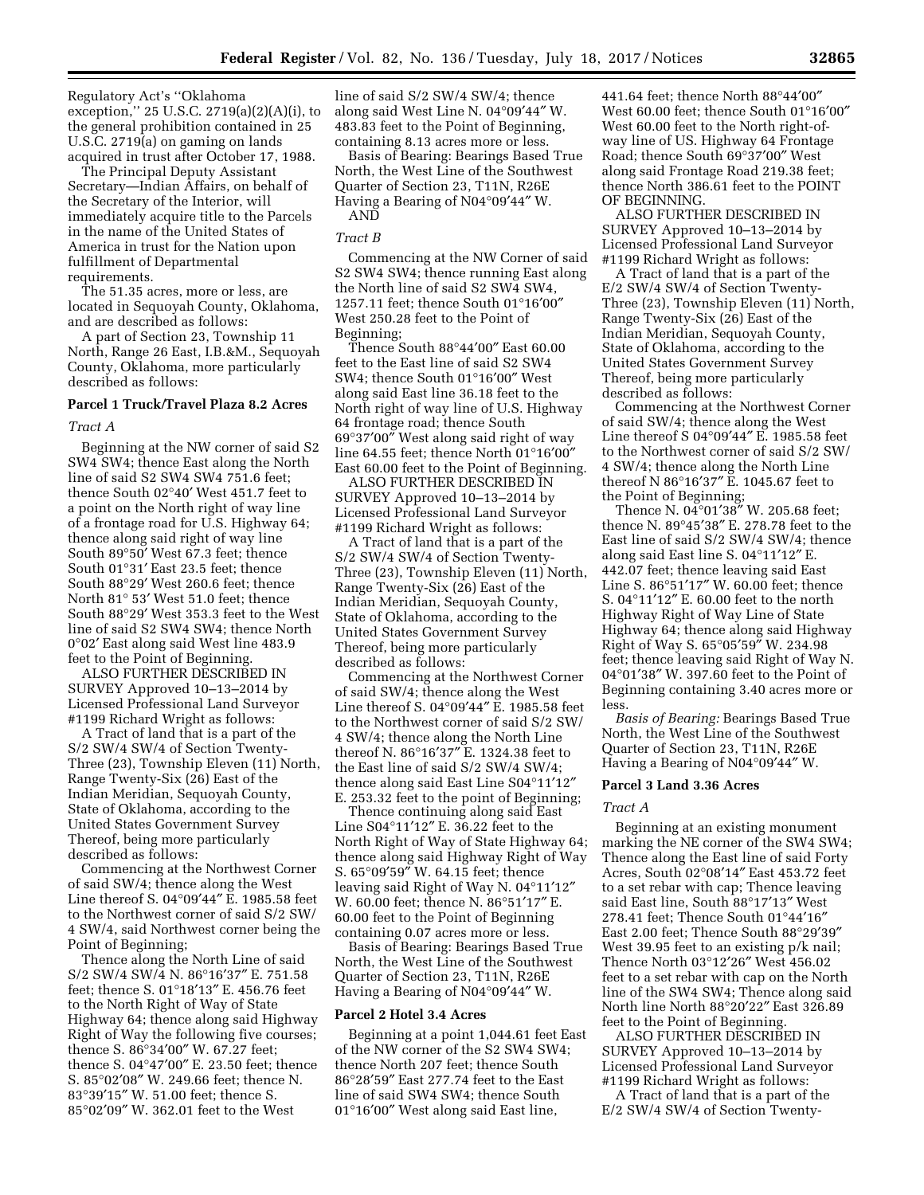Regulatory Act's ''Oklahoma exception,'' 25 U.S.C. 2719(a)(2)(A)(i), to the general prohibition contained in 25 U.S.C. 2719(a) on gaming on lands acquired in trust after October 17, 1988.

The Principal Deputy Assistant Secretary—Indian Affairs, on behalf of the Secretary of the Interior, will immediately acquire title to the Parcels in the name of the United States of America in trust for the Nation upon fulfillment of Departmental requirements.

The 51.35 acres, more or less, are located in Sequoyah County, Oklahoma, and are described as follows:

A part of Section 23, Township 11 North, Range 26 East, I.B.&M., Sequoyah County, Oklahoma, more particularly described as follows:

## **Parcel 1 Truck/Travel Plaza 8.2 Acres**

#### *Tract A*

Beginning at the NW corner of said S2 SW4 SW4; thence East along the North line of said S2 SW4 SW4 751.6 feet; thence South 02°40′ West 451.7 feet to a point on the North right of way line of a frontage road for U.S. Highway 64; thence along said right of way line South 89°50′ West 67.3 feet; thence South 01°31′ East 23.5 feet; thence South 88°29′ West 260.6 feet; thence North 81° 53′ West 51.0 feet; thence South 88°29′ West 353.3 feet to the West line of said S2 SW4 SW4; thence North 0°02′ East along said West line 483.9 feet to the Point of Beginning.

ALSO FURTHER DESCRIBED IN SURVEY Approved 10–13–2014 by Licensed Professional Land Surveyor #1199 Richard Wright as follows:

A Tract of land that is a part of the S/2 SW/4 SW/4 of Section Twenty-Three (23), Township Eleven (11) North, Range Twenty-Six (26) East of the Indian Meridian, Sequoyah County, State of Oklahoma, according to the United States Government Survey Thereof, being more particularly described as follows:

Commencing at the Northwest Corner of said SW/4; thence along the West Line thereof S. 04°09′44″ E. 1985.58 feet to the Northwest corner of said S/2 SW/ 4 SW/4, said Northwest corner being the Point of Beginning;

Thence along the North Line of said S/2 SW/4 SW/4 N. 86°16′37″ E. 751.58 feet; thence S. 01°18′13″ E. 456.76 feet to the North Right of Way of State Highway 64; thence along said Highway Right of Way the following five courses; thence S. 86°34′00″ W. 67.27 feet; thence S. 04°47′00″ E. 23.50 feet; thence S. 85°02′08″ W. 249.66 feet; thence N. 83°39′15″ W. 51.00 feet; thence S. 85°02′09″ W. 362.01 feet to the West

line of said S/2 SW/4 SW/4; thence along said West Line N. 04°09′44″ W. 483.83 feet to the Point of Beginning, containing 8.13 acres more or less.

Basis of Bearing: Bearings Based True North, the West Line of the Southwest Quarter of Section 23, T11N, R26E Having a Bearing of N04°09′44″ W. AND

### *Tract B*

Commencing at the NW Corner of said S2 SW4 SW4; thence running East along the North line of said S2 SW4 SW4, 1257.11 feet; thence South 01°16′00″ West 250.28 feet to the Point of Beginning;

Thence South 88°44′00″ East 60.00 feet to the East line of said S2 SW4 SW4; thence South 01°16′00″ West along said East line 36.18 feet to the North right of way line of U.S. Highway 64 frontage road; thence South 69°37′00″ West along said right of way line 64.55 feet; thence North 01°16′00″ East 60.00 feet to the Point of Beginning.

ALSO FURTHER DESCRIBED IN SURVEY Approved 10–13–2014 by Licensed Professional Land Surveyor #1199 Richard Wright as follows:

A Tract of land that is a part of the S/2 SW/4 SW/4 of Section Twenty-Three (23), Township Eleven (11) North, Range Twenty-Six (26) East of the Indian Meridian, Sequoyah County, State of Oklahoma, according to the United States Government Survey Thereof, being more particularly described as follows:

Commencing at the Northwest Corner of said SW/4; thence along the West Line thereof S. 04°09′44″ E. 1985.58 feet to the Northwest corner of said S/2 SW/ 4 SW/4; thence along the North Line thereof N. 86°16′37″ E. 1324.38 feet to the East line of said S/2 SW/4 SW/4; thence along said East Line S04°11′12″ E. 253.32 feet to the point of Beginning;

Thence continuing along said East Line S04°11′12″ E. 36.22 feet to the North Right of Way of State Highway 64; thence along said Highway Right of Way S. 65°09′59″ W. 64.15 feet; thence leaving said Right of Way N. 04°11′12″ W. 60.00 feet; thence N. 86°51′17″ E. 60.00 feet to the Point of Beginning containing 0.07 acres more or less.

Basis of Bearing: Bearings Based True North, the West Line of the Southwest Quarter of Section 23, T11N, R26E Having a Bearing of N04°09′44″ W.

#### **Parcel 2 Hotel 3.4 Acres**

Beginning at a point 1,044.61 feet East of the NW corner of the S2 SW4 SW4; thence North 207 feet; thence South 86°28′59″ East 277.74 feet to the East line of said SW4 SW4; thence South 01°16′00″ West along said East line,

441.64 feet; thence North 88°44′00″ West 60.00 feet; thence South 01°16′00″ West 60.00 feet to the North right-ofway line of US. Highway 64 Frontage Road; thence South 69°37′00″ West along said Frontage Road 219.38 feet; thence North 386.61 feet to the POINT OF BEGINNING.

ALSO FURTHER DESCRIBED IN SURVEY Approved 10–13–2014 by Licensed Professional Land Surveyor #1199 Richard Wright as follows:

A Tract of land that is a part of the E/2 SW/4 SW/4 of Section Twenty-Three (23), Township Eleven (11) North, Range Twenty-Six (26) East of the Indian Meridian, Sequoyah County, State of Oklahoma, according to the United States Government Survey Thereof, being more particularly described as follows:

Commencing at the Northwest Corner of said SW/4; thence along the West Line thereof S 04°09′44″ E. 1985.58 feet to the Northwest corner of said S/2 SW/ 4 SW/4; thence along the North Line thereof N 86°16′37″ E. 1045.67 feet to the Point of Beginning;

Thence N. 04°01′38″ W. 205.68 feet; thence N. 89°45′38″ E. 278.78 feet to the East line of said S/2 SW/4 SW/4; thence along said East line S. 04°11′12″ E. 442.07 feet; thence leaving said East Line S. 86°51′17″ W. 60.00 feet; thence S. 04°11′12″ E. 60.00 feet to the north Highway Right of Way Line of State Highway 64; thence along said Highway Right of Way S. 65°05′59″ W. 234.98 feet; thence leaving said Right of Way N. 04°01′38″ W. 397.60 feet to the Point of Beginning containing 3.40 acres more or less.

*Basis of Bearing:* Bearings Based True North, the West Line of the Southwest Quarter of Section 23, T11N, R26E Having a Bearing of N04°09′44″ W.

## **Parcel 3 Land 3.36 Acres**

### *Tract A*

Beginning at an existing monument marking the NE corner of the SW4 SW4; Thence along the East line of said Forty Acres, South 02°08′14″ East 453.72 feet to a set rebar with cap; Thence leaving said East line, South 88°17′13″ West 278.41 feet; Thence South 01°44′16″ East 2.00 feet; Thence South 88°29′39″ West 39.95 feet to an existing p/k nail; Thence North 03°12′26″ West 456.02 feet to a set rebar with cap on the North line of the SW4 SW4; Thence along said North line North 88°20′22″ East 326.89 feet to the Point of Beginning.

ALSO FURTHER DESCRIBED IN SURVEY Approved 10–13–2014 by Licensed Professional Land Surveyor #1199 Richard Wright as follows:

A Tract of land that is a part of the E/2 SW/4 SW/4 of Section Twenty